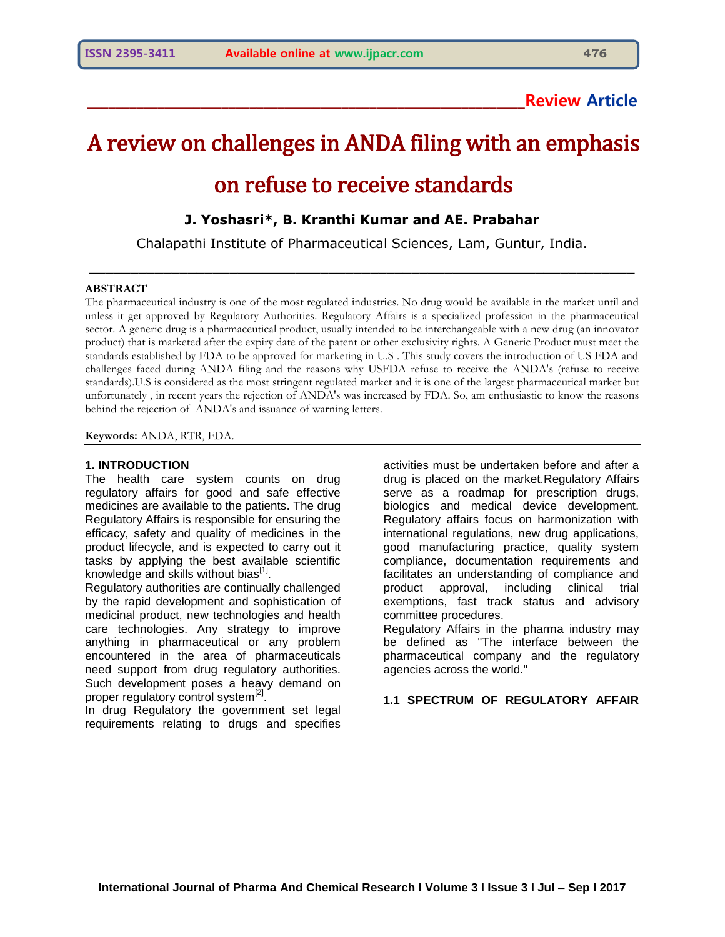# **\_\_\_\_\_\_\_\_\_\_\_\_\_\_\_\_\_\_\_\_\_\_\_\_\_\_\_\_\_\_\_\_\_\_\_\_\_\_\_\_\_\_\_\_\_\_\_\_\_\_\_\_\_\_\_\_\_\_\_\_\_\_Review Article**

# A review on challenges in ANDA filing with an emphasis on refuse to receive standards

# **J. Yoshasri\*, B. Kranthi Kumar and AE. Prabahar**

Chalapathi Institute of Pharmaceutical Sciences, Lam, Guntur, India.  $\_$  , and the set of the set of the set of the set of the set of the set of the set of the set of the set of the set of the set of the set of the set of the set of the set of the set of the set of the set of the set of th

#### **ABSTRACT**

The pharmaceutical industry is one of the most regulated industries. No drug would be available in the market until and unless it get approved by Regulatory Authorities. Regulatory Affairs is a specialized profession in the pharmaceutical sector. A generic drug is a pharmaceutical product, usually intended to be interchangeable with a new drug (an innovator product) that is marketed after the expiry date of the patent or other exclusivity rights. A Generic Product must meet the standards established by FDA to be approved for marketing in U.S . This study covers the introduction of US FDA and challenges faced during ANDA filing and the reasons why USFDA refuse to receive the ANDA's (refuse to receive standards).U.S is considered as the most stringent regulated market and it is one of the largest pharmaceutical market but unfortunately , in recent years the rejection of ANDA's was increased by FDA. So, am enthusiastic to know the reasons behind the rejection of ANDA's and issuance of warning letters.

**Keywords:** ANDA, RTR, FDA.

#### **1. INTRODUCTION**

The health care system counts on drug regulatory affairs for good and safe effective medicines are available to the patients. The drug Regulatory Affairs is responsible for ensuring the efficacy, safety and quality of medicines in the product lifecycle, and is expected to carry out it tasks by applying the best available scientific knowledge and skills without bias $^{[1]}$ .

Regulatory authorities are continually challenged by the rapid development and sophistication of medicinal product, new technologies and health care technologies. Any strategy to improve anything in pharmaceutical or any problem encountered in the area of pharmaceuticals need support from drug regulatory authorities. Such development poses a heavy demand on proper regulatory control system<sup>[2]</sup>.

In drug Regulatory the government set legal requirements relating to drugs and specifies activities must be undertaken before and after a drug is placed on the market.Regulatory Affairs serve as a roadmap for prescription drugs, biologics and medical device development. Regulatory affairs focus on harmonization with international regulations, new drug applications, good manufacturing practice, quality system compliance, documentation requirements and facilitates an understanding of compliance and product approval, including clinical trial exemptions, fast track status and advisory committee procedures.

Regulatory Affairs in the pharma industry may be defined as "The interface between the pharmaceutical company and the regulatory agencies across the world."

#### **1.1 SPECTRUM OF REGULATORY AFFAIR**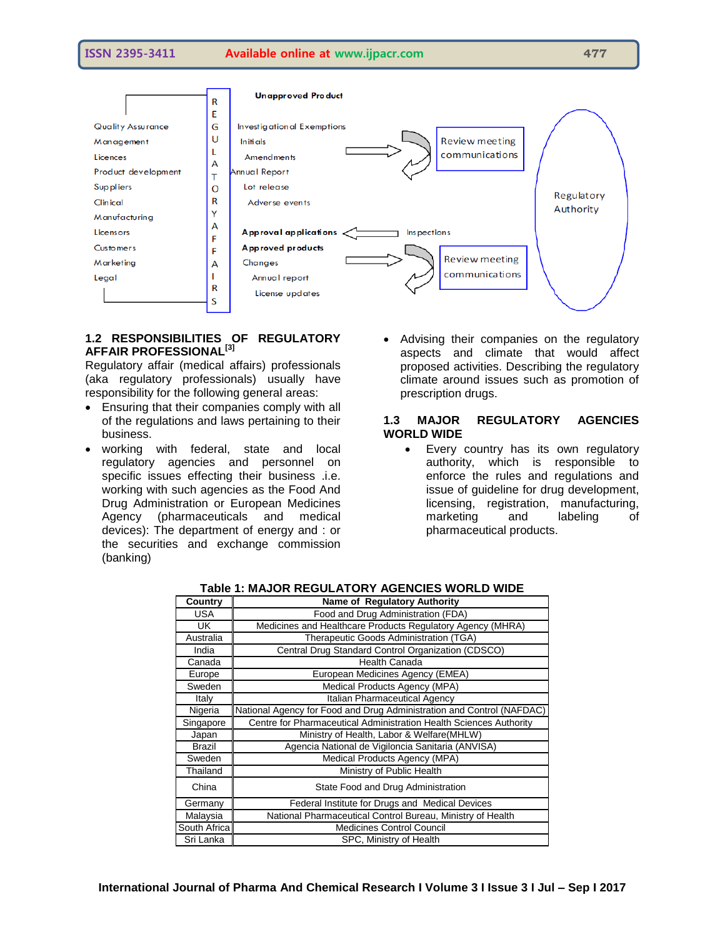



# **1.2 RESPONSIBILITIES OF REGULATORY AFFAIR PROFESSIONAL[3]**

Regulatory affair (medical affairs) professionals (aka regulatory professionals) usually have responsibility for the following general areas:

- Ensuring that their companies comply with all of the regulations and laws pertaining to their business.
- working with federal, state and local regulatory agencies and personnel on specific issues effecting their business .i.e. working with such agencies as the Food And Drug Administration or European Medicines Agency (pharmaceuticals and medical devices): The department of energy and : or the securities and exchange commission (banking)
- Advising their companies on the regulatory aspects and climate that would affect proposed activities. Describing the regulatory climate around issues such as promotion of prescription drugs.

#### **1.3 MAJOR REGULATORY AGENCIES WORLD WIDE**

• Every country has its own regulatory authority, which is responsible to enforce the rules and regulations and issue of guideline for drug development, licensing, registration, manufacturing, marketing and labeling of pharmaceutical products.

| Country       | <b>Name of Regulatory Authority</b>                                   |
|---------------|-----------------------------------------------------------------------|
| <b>USA</b>    | Food and Drug Administration (FDA)                                    |
| UK            | Medicines and Healthcare Products Regulatory Agency (MHRA)            |
| Australia     | Therapeutic Goods Administration (TGA)                                |
| India         | Central Drug Standard Control Organization (CDSCO)                    |
| Canada        | Health Canada                                                         |
| Europe        | European Medicines Agency (EMEA)                                      |
| Sweden        | Medical Products Agency (MPA)                                         |
| Italy         | Italian Pharmaceutical Agency                                         |
| Nigeria       | National Agency for Food and Drug Administration and Control (NAFDAC) |
| Singapore     | Centre for Pharmaceutical Administration Health Sciences Authority    |
| Japan         | Ministry of Health, Labor & Welfare(MHLW)                             |
| <b>Brazil</b> | Agencia National de Vigiloncia Sanitaria (ANVISA)                     |
| Sweden        | Medical Products Agency (MPA)                                         |
| Thailand      | Ministry of Public Health                                             |
| China         | State Food and Drug Administration                                    |
| Germany       | Federal Institute for Drugs and Medical Devices                       |
| Malaysia      | National Pharmaceutical Control Bureau, Ministry of Health            |
| South Africa  | <b>Medicines Control Council</b>                                      |
| Sri Lanka     | SPC, Ministry of Health                                               |

# **Table 1: MAJOR REGULATORY AGENCIES WORLD WIDE**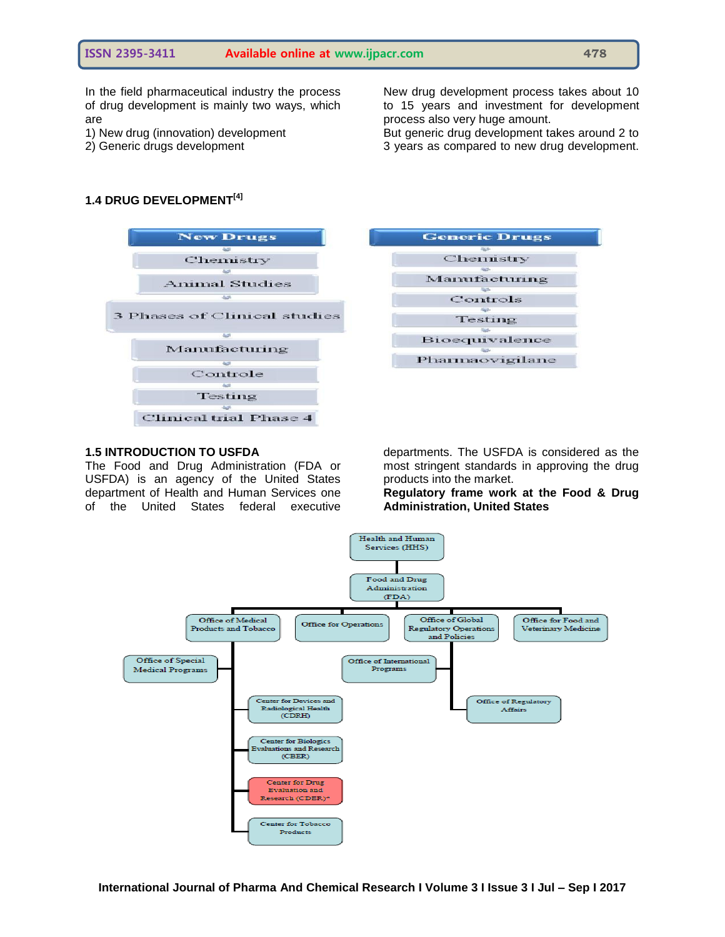In the field pharmaceutical industry the process of drug development is mainly two ways, which are

- 1) New drug (innovation) development
- 2) Generic drugs development

New drug development process takes about 10 to 15 years and investment for development process also very huge amount.

But generic drug development takes around 2 to 3 years as compared to new drug development.

# **1.4 DRUG DEVELOPMENT[4]**



# Testing Bioequivalence Pharmaovigilane

**Generic Drugs** 

Chemistry

Manufacturing

Controls

#### **1.5 INTRODUCTION TO USFDA**

The Food and Drug Administration (FDA or USFDA) is an agency of the United States department of Health and Human Services one of the United States federal executive departments. The USFDA is considered as the most stringent standards in approving the drug products into the market.

**Regulatory frame work at the Food & Drug Administration, United States**

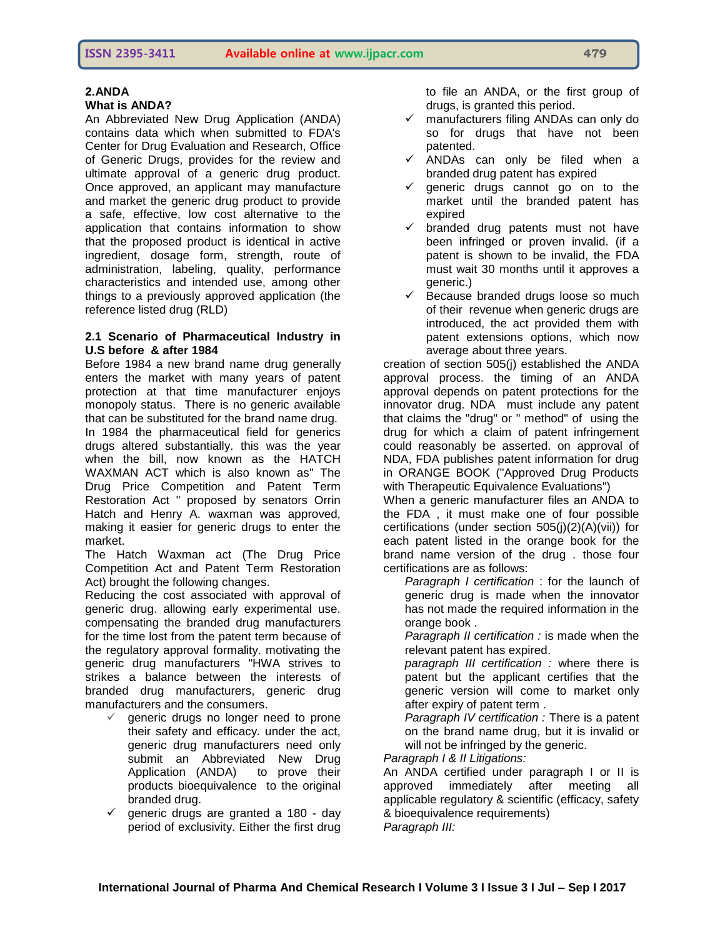#### **2.ANDA**

#### **What is ANDA?**

An Abbreviated New Drug Application (ANDA) contains data which when submitted to FDA's Center for Drug Evaluation and Research, Office of Generic Drugs, provides for the review and ultimate approval of a generic drug product. Once approved, an applicant may manufacture and market the generic drug product to provide a safe, effective, low cost alternative to the application that contains information to show that the proposed product is identical in active ingredient, dosage form, strength, route of administration, labeling, quality, performance characteristics and intended use, among other things to a previously approved application (the reference listed drug (RLD)

#### **2.1 Scenario of Pharmaceutical Industry in U.S before & after 1984**

Before 1984 a new brand name drug generally enters the market with many years of patent protection at that time manufacturer enjoys monopoly status. There is no generic available that can be substituted for the brand name drug. In 1984 the pharmaceutical field for generics drugs altered substantially. this was the year when the bill, now known as the HATCH WAXMAN ACT which is also known as" The Drug Price Competition and Patent Term Restoration Act " proposed by senators Orrin Hatch and Henry A. waxman was approved, making it easier for generic drugs to enter the market.

The Hatch Waxman act (The Drug Price Competition Act and Patent Term Restoration Act) brought the following changes.

Reducing the cost associated with approval of generic drug. allowing early experimental use. compensating the branded drug manufacturers for the time lost from the patent term because of the regulatory approval formality. motivating the generic drug manufacturers "HWA strives to strikes a balance between the interests of branded drug manufacturers, generic drug manufacturers and the consumers.

- $\checkmark$  generic drugs no longer need to prone their safety and efficacy. under the act, generic drug manufacturers need only submit an Abbreviated New Drug Application (ANDA) to prove their products bioequivalence to the original branded drug.
- $\checkmark$  generic drugs are granted a 180 day period of exclusivity. Either the first drug

to file an ANDA, or the first group of drugs, is granted this period.

- manufacturers filing ANDAs can only do so for drugs that have not been patented.
- $\checkmark$  ANDAs can only be filed when a branded drug patent has expired
- $\checkmark$  generic drugs cannot go on to the market until the branded patent has expired
- $\checkmark$  branded drug patents must not have been infringed or proven invalid. (if a patent is shown to be invalid, the FDA must wait 30 months until it approves a generic.)
- $\checkmark$  Because branded drugs loose so much of their revenue when generic drugs are introduced, the act provided them with patent extensions options, which now average about three years.

creation of section 505(j) established the ANDA approval process. the timing of an ANDA approval depends on patent protections for the innovator drug. NDA must include any patent that claims the "drug" or " method" of using the drug for which a claim of patent infringement could reasonably be asserted. on approval of NDA, FDA publishes patent information for drug in ORANGE BOOK ("Approved Drug Products with Therapeutic Equivalence Evaluations")

When a generic manufacturer files an ANDA to the FDA , it must make one of four possible certifications (under section 505(j)(2)(A)(vii)) for each patent listed in the orange book for the brand name version of the drug . those four certifications are as follows:

*Paragraph I certification* : for the launch of generic drug is made when the innovator has not made the required information in the orange book .

*Paragraph II certification :* is made when the relevant patent has expired.

*paragraph III certification :* where there is patent but the applicant certifies that the generic version will come to market only after expiry of patent term .

*Paragraph IV certification :* There is a patent on the brand name drug, but it is invalid or will not be infringed by the generic.

*Paragraph I & II Litigations:* 

An ANDA certified under paragraph I or II is approved immediately after meeting all applicable regulatory & scientific (efficacy, safety & bioequivalence requirements) *Paragraph III:*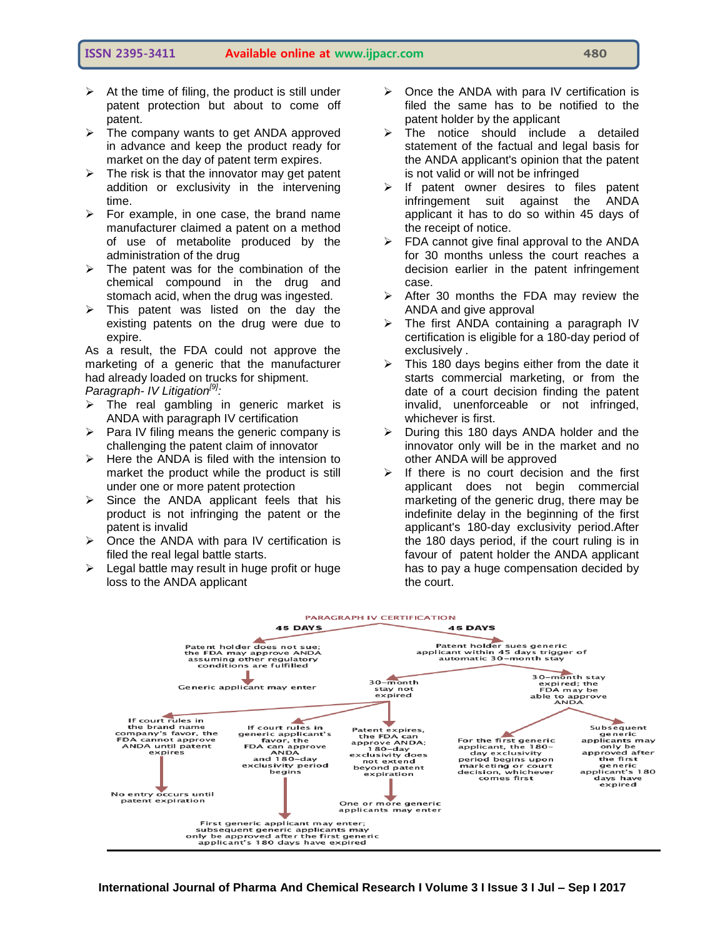- $\triangleright$  At the time of filing, the product is still under patent protection but about to come off patent.
- $\triangleright$  The company wants to get ANDA approved in advance and keep the product ready for market on the day of patent term expires.
- $\triangleright$  The risk is that the innovator may get patent addition or exclusivity in the intervening time.
- $\triangleright$  For example, in one case, the brand name manufacturer claimed a patent on a method of use of metabolite produced by the administration of the drug
- $\triangleright$  The patent was for the combination of the chemical compound in the drug and stomach acid, when the drug was ingested.
- $\triangleright$  This patent was listed on the day the existing patents on the drug were due to expire.

As a result, the FDA could not approve the marketing of a generic that the manufacturer had already loaded on trucks for shipment. *Paragraph- IV Litigation[9]:*

- $\triangleright$  The real gambling in generic market is ANDA with paragraph IV certification
- $\triangleright$  Para IV filing means the generic company is challenging the patent claim of innovator
- $\triangleright$  Here the ANDA is filed with the intension to market the product while the product is still under one or more patent protection
- $\triangleright$  Since the ANDA applicant feels that his product is not infringing the patent or the patent is invalid
- $\triangleright$  Once the ANDA with para IV certification is filed the real legal battle starts.
- $\triangleright$  Legal battle may result in huge profit or huge loss to the ANDA applicant
- $\triangleright$  Once the ANDA with para IV certification is filed the same has to be notified to the patent holder by the applicant
- $\triangleright$  The notice should include a detailed statement of the factual and legal basis for the ANDA applicant's opinion that the patent is not valid or will not be infringed
- $\triangleright$  If patent owner desires to files patent infringement suit against the ANDA applicant it has to do so within 45 days of the receipt of notice.
- $\triangleright$  FDA cannot give final approval to the ANDA for 30 months unless the court reaches a decision earlier in the patent infringement case.
- $\triangleright$  After 30 months the FDA may review the ANDA and give approval
- $\triangleright$  The first ANDA containing a paragraph IV certification is eligible for a 180-day period of exclusively .
- $\triangleright$  This 180 days begins either from the date it starts commercial marketing, or from the date of a court decision finding the patent invalid, unenforceable or not infringed, whichever is first.
- $\triangleright$  During this 180 days ANDA holder and the innovator only will be in the market and no other ANDA will be approved
- $\triangleright$  If there is no court decision and the first applicant does not begin commercial marketing of the generic drug, there may be indefinite delay in the beginning of the first applicant's 180-day exclusivity period.After the 180 days period, if the court ruling is in favour of patent holder the ANDA applicant has to pay a huge compensation decided by the court.

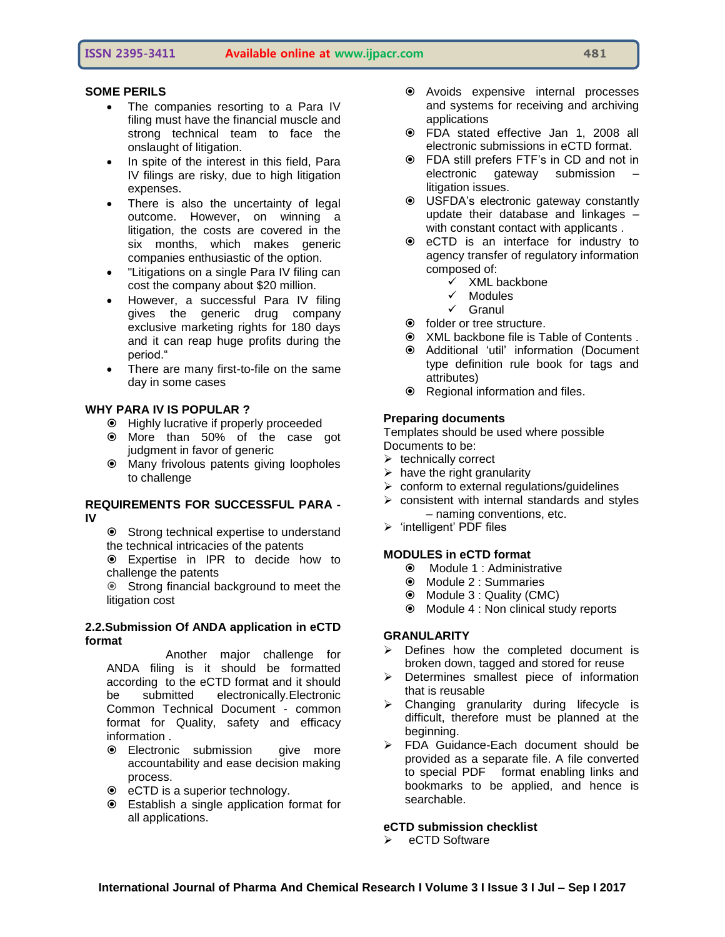# **SOME PERILS**

- The companies resorting to a Para IV filing must have the financial muscle and strong technical team to face the onslaught of litigation.
- In spite of the interest in this field, Para IV filings are risky, due to high litigation expenses.
- There is also the uncertainty of legal outcome. However, on winning a litigation, the costs are covered in the six months, which makes generic companies enthusiastic of the option.
- "Litigations on a single Para IV filing can cost the company about \$20 million.
- However, a successful Para IV filing gives the generic drug company exclusive marketing rights for 180 days and it can reap huge profits during the period."
- There are many first-to-file on the same day in some cases

# **WHY PARA IV IS POPULAR ?**

- Highly lucrative if properly proceeded
- More than 50% of the case got judgment in favor of generic
- Many frivolous patents giving loopholes to challenge

#### **REQUIREMENTS FOR SUCCESSFUL PARA - IV**

- $\odot$  Strong technical expertise to understand the technical intricacies of the patents
- Expertise in IPR to decide how to challenge the patents

 Strong financial background to meet the litigation cost

#### **2.2.Submission Of ANDA application in eCTD format**

 Another major challenge for ANDA filing is it should be formatted according to the eCTD format and it should be submitted electronically.Electronic Common Technical Document - common format for Quality, safety and efficacy information .

- **Electronic submission** give more accountability and ease decision making process.
- eCTD is a superior technology.
- Establish a single application format for all applications.
- Avoids expensive internal processes and systems for receiving and archiving applications
- FDA stated effective Jan 1, 2008 all electronic submissions in eCTD format.
- FDA still prefers FTF"s in CD and not in electronic gateway submission litigation issues.
- USFDA"s electronic gateway constantly update their database and linkages – with constant contact with applicants .
- eCTD is an interface for industry to agency transfer of regulatory information composed of:
	- $\times$  XML backbone
	- $\checkmark$  Modules
	- $\checkmark$  Granul
- folder or tree structure.
- XML backbone file is Table of Contents .
- Additional "util" information (Document type definition rule book for tags and attributes)
- Regional information and files.

#### **Preparing documents**

Templates should be used where possible Documents to be:

- $\triangleright$  technically correct
- $\triangleright$  have the right granularity
- $\triangleright$  conform to external regulations/guidelines
- $\triangleright$  consistent with internal standards and styles – naming conventions, etc.
- $\triangleright$  'intelligent' PDF files

# **MODULES in eCTD format**

- Module 1 : Administrative
- Module 2 : Summaries
- Module 3 : Quality (CMC)
- Module 4 : Non clinical study reports

#### **GRANULARITY**

- $\triangleright$  Defines how the completed document is broken down, tagged and stored for reuse
- $\triangleright$  Determines smallest piece of information that is reusable
- $\triangleright$  Changing granularity during lifecycle is difficult, therefore must be planned at the beginning.
- > FDA Guidance-Each document should be provided as a separate file. A file converted to special PDF format enabling links and bookmarks to be applied, and hence is searchable.

# **eCTD submission checklist**

eCTD Software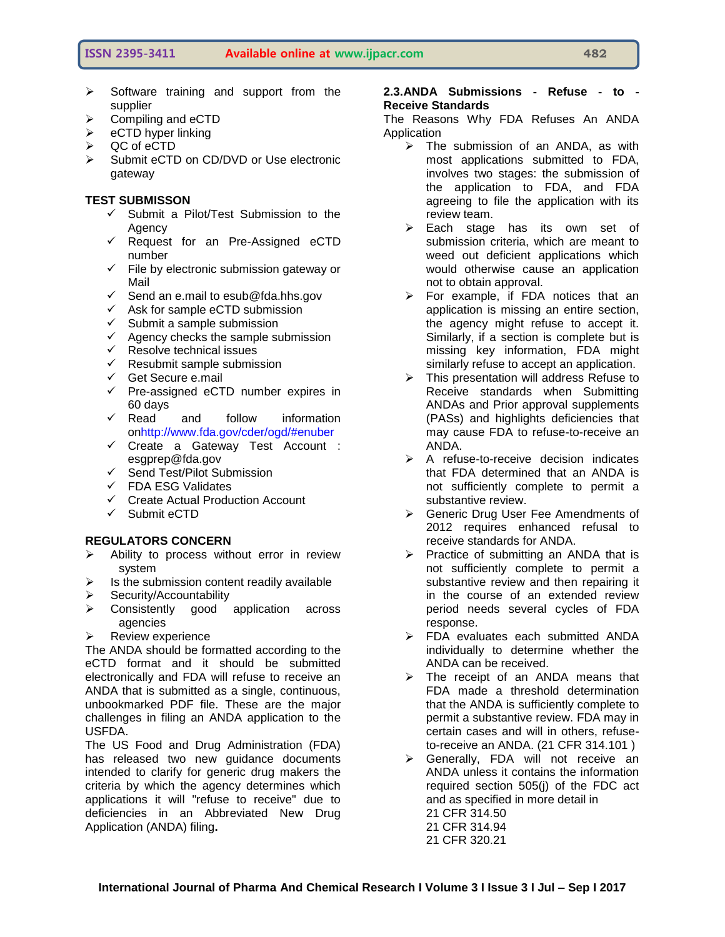- $\triangleright$  Software training and support from the supplier
- $\geq$  Compiling and eCTD<br> $\geq$  eCTD hyper linking
- eCTD hyper linking
- QC of eCTD
- Submit eCTD on CD/DVD or Use electronic gateway

#### **TEST SUBMISSON**

- $\checkmark$  Submit a Pilot/Test Submission to the Agency
- $\checkmark$  Request for an Pre-Assigned eCTD number
- $\checkmark$  File by electronic submission gateway or Mail
- $\checkmark$  Send an e.mail to esub@fda.hhs.gov
- $\checkmark$  Ask for sample eCTD submission
- $\checkmark$  Submit a sample submission
- $\checkmark$  Agency checks the sample submission
- $\checkmark$  Resolve technical issues
- $\checkmark$  Resubmit sample submission
- $\checkmark$  Get Secure e.mail
- $\checkmark$  Pre-assigned eCTD number expires in 60 days
- $\checkmark$  Read and follow information o[nhttp://www.fda.gov/cder/ogd/#enuber](http://www.fda.gov/cder/ogd/#enuber)
- Create a Gateway Test Account : esgprep@fda.gov
- $\checkmark$  Send Test/Pilot Submission
- $\checkmark$  FDA ESG Validates
- $\checkmark$  Create Actual Production Account
- $\checkmark$  Submit eCTD

#### **REGULATORS CONCERN**

- $\triangleright$  Ability to process without error in review system
- $\triangleright$  Is the submission content readily available
- $\triangleright$  Security/Accountability
- $\triangleright$  Consistently good application across agencies
- $\triangleright$  Review experience

The ANDA should be formatted according to the eCTD format and it should be submitted electronically and FDA will refuse to receive an ANDA that is submitted as a single, continuous, unbookmarked PDF file. These are the major challenges in filing an ANDA application to the USFDA.

The US Food and Drug Administration (FDA) has released two new guidance documents intended to clarify for generic drug makers the criteria by which the agency determines which applications it will "refuse to receive" due to deficiencies in an Abbreviated New Drug Application (ANDA) filing**.** 

#### **2.3.ANDA Submissions - Refuse - to - Receive Standards**

The Reasons Why FDA Refuses An ANDA Application

- $\triangleright$  The submission of an ANDA, as with most applications submitted to FDA, involves two stages: the submission of the application to FDA, and FDA agreeing to file the application with its review team.
- Each stage has its own set of submission criteria, which are meant to weed out deficient applications which would otherwise cause an application not to obtain approval.
- $\triangleright$  For example, if FDA notices that an application is missing an entire section, the agency might refuse to accept it. Similarly, if a section is complete but is missing key information, FDA might similarly refuse to accept an application.
- $\triangleright$  This presentation will address Refuse to Receive standards when Submitting ANDAs and Prior approval supplements (PASs) and highlights deficiencies that may cause FDA to refuse-to-receive an ANDA.
- $\triangleright$  A refuse-to-receive decision indicates that FDA determined that an ANDA is not sufficiently complete to permit a substantive review.
- **►** Generic Drug User Fee Amendments of 2012 requires enhanced refusal to receive standards for ANDA.
- $\triangleright$  Practice of submitting an ANDA that is not sufficiently complete to permit a substantive review and then repairing it in the course of an extended review period needs several cycles of FDA response.
- > FDA evaluates each submitted ANDA individually to determine whether the ANDA can be received.
- $\triangleright$  The receipt of an ANDA means that FDA made a threshold determination that the ANDA is sufficiently complete to permit a substantive review. FDA may in certain cases and will in others, refuseto-receive an ANDA. (21 CFR 314.101 )
- $\triangleright$  Generally, FDA will not receive an ANDA unless it contains the information required section 505(j) of the FDC act and as specified in more detail in 21 CFR 314.50 21 CFR 314.94
	- 21 CFR 320.21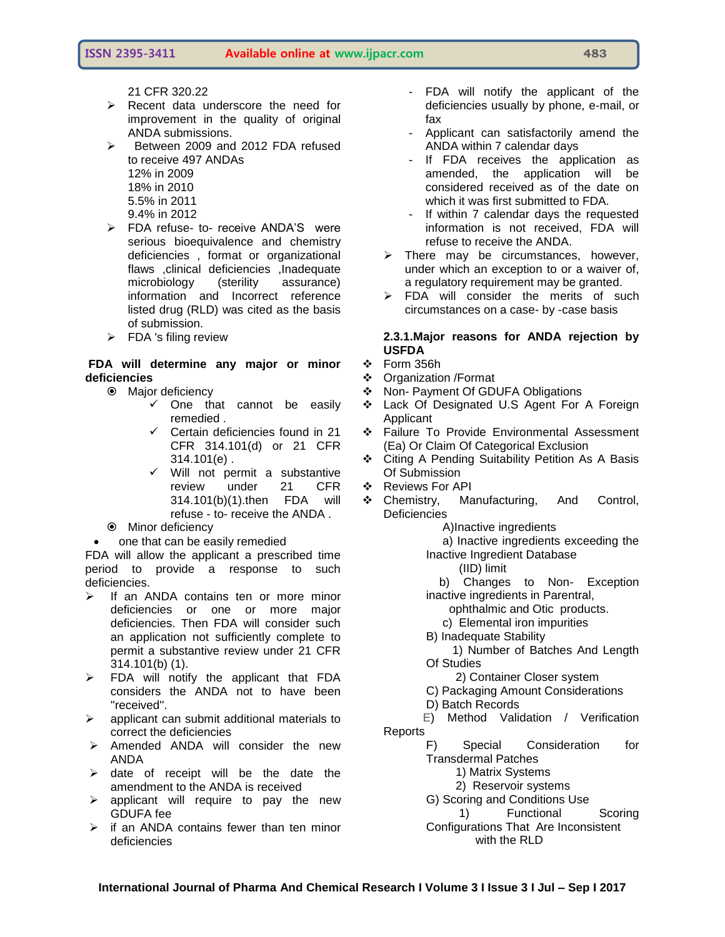21 CFR 320.22

- $\triangleright$  Recent data underscore the need for improvement in the quality of original ANDA submissions.
- $\triangleright$  Between 2009 and 2012 FDA refused to receive 497 ANDAs 12% in 2009 18% in 2010 5.5% in 2011
	- 9.4% in 2012
- > FDA refuse- to- receive ANDA'S were serious bioequivalence and chemistry deficiencies , format or organizational flaws ,clinical deficiencies ,Inadequate microbiology (sterility assurance) information and Incorrect reference listed drug (RLD) was cited as the basis of submission.
- $\triangleright$  FDA 's filing review

#### **FDA will determine any major or minor deficiencies**

- Major deficiency
	- $\checkmark$  One that cannot be easily remedied .
	- $\checkmark$  Certain deficiencies found in 21 CFR 314.101(d) or 21 CFR 314.101(e) .
	- $\checkmark$  Will not permit a substantive review under 21 CFR 314.101(b)(1).then FDA will refuse - to- receive the ANDA .
- $\odot$  Minor deficiency
- one that can be easily remedied

FDA will allow the applicant a prescribed time period to provide a response to such deficiencies.

- $\triangleright$  If an ANDA contains ten or more minor deficiencies or one or more major deficiencies. Then FDA will consider such an application not sufficiently complete to permit a substantive review under 21 CFR 314.101(b) (1).
- $\triangleright$  FDA will notify the applicant that FDA considers the ANDA not to have been ''received''.
- $\triangleright$  applicant can submit additional materials to correct the deficiencies
- $\triangleright$  Amended ANDA will consider the new ANDA
- $\triangleright$  date of receipt will be the date the amendment to the ANDA is received
- $\triangleright$  applicant will require to pay the new GDUFA fee
- $\triangleright$  if an ANDA contains fewer than ten minor deficiencies
- FDA will notify the applicant of the deficiencies usually by phone, e-mail, or fax
- Applicant can satisfactorily amend the ANDA within 7 calendar days
- If FDA receives the application as amended, the application will be considered received as of the date on which it was first submitted to FDA.
- If within 7 calendar days the requested information is not received, FDA will refuse to receive the ANDA.
- $\triangleright$  There may be circumstances, however, under which an exception to or a waiver of, a regulatory requirement may be granted.
- $\triangleright$  FDA will consider the merits of such circumstances on a case- by -case basis

#### **2.3.1.Major reasons for ANDA rejection by USFDA**

- ❖ Form 356h
- Organization /Format
- ❖ Non- Payment Of GDUFA Obligations
- Lack Of Designated U.S Agent For A Foreign **Applicant**
- Failure To Provide Environmental Assessment (Ea) Or Claim Of Categorical Exclusion
- Citing A Pending Suitability Petition As A Basis Of Submission
- ❖ Reviews For API
- \* Chemistry, Manufacturing, And Control, **Deficiencies**

A)Inactive ingredients

 a) Inactive ingredients exceeding the Inactive Ingredient Database

(IID) limit

 b) Changes to Non- Exception inactive ingredients in Parentral,

ophthalmic and Otic products.

- c) Elemental iron impurities
- B) Inadequate Stability

 1) Number of Batches And Length Of Studies

- 2) Container Closer system
- C) Packaging Amount Considerations
- D) Batch Records

 E) Method Validation / Verification **Reports** 

F) Special Consideration for Transdermal Patches

1) Matrix Systems

2) Reservoir systems

G) Scoring and Conditions Use

 1) Functional Scoring Configurations That Are Inconsistent with the RLD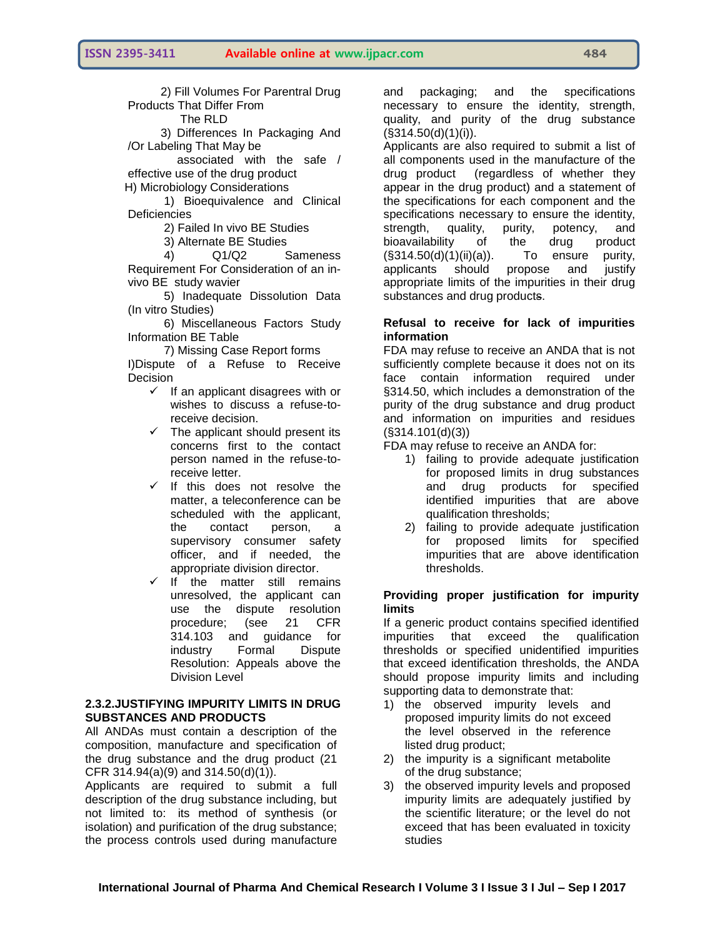2) Fill Volumes For Parentral Drug Products That Differ From

The RLD

 3) Differences In Packaging And /Or Labeling That May be

 associated with the safe / effective use of the drug product

H) Microbiology Considerations

 1) Bioequivalence and Clinical **Deficiencies** 

- 2) Failed In vivo BE Studies
- 3) Alternate BE Studies<br>4) 01/02

 4) Q1/Q2 Sameness Requirement For Consideration of an invivo BE study wavier

 5) Inadequate Dissolution Data (In vitro Studies)

 6) Miscellaneous Factors Study Information BE Table

7) Missing Case Report forms

I)Dispute of a Refuse to Receive Decision

- $\checkmark$  If an applicant disagrees with or wishes to discuss a refuse-toreceive decision.
- $\checkmark$  The applicant should present its concerns first to the contact person named in the refuse-toreceive letter.
- $\checkmark$  If this does not resolve the matter, a teleconference can be scheduled with the applicant, the contact person, a supervisory consumer safety officer, and if needed, the appropriate division director.
- $\checkmark$  If the matter still remains unresolved, the applicant can use the dispute resolution procedure; (see 21 CFR 314.103 and guidance for industry Formal Dispute Resolution: Appeals above the Division Level

# **2.3.2.JUSTIFYING IMPURITY LIMITS IN DRUG SUBSTANCES AND PRODUCTS**

All ANDAs must contain a description of the composition, manufacture and specification of the drug substance and the drug product (21 CFR 314.94(a)(9) and 314.50(d)(1)).

Applicants are required to submit a full description of the drug substance including, but not limited to: its method of synthesis (or isolation) and purification of the drug substance; the process controls used during manufacture

and packaging; and the specifications necessary to ensure the identity, strength, quality, and purity of the drug substance  $(S314.50(d)(1)(i)).$ 

Applicants are also required to submit a list of all components used in the manufacture of the drug product (regardless of whether they appear in the drug product) and a statement of the specifications for each component and the specifications necessary to ensure the identity, strength, quality, purity, potency, and bioavailability of the drug product  $(S314.50(d)(1)(ii)(a))$ . To ensure purity, applicants should propose and justify appropriate limits of the impurities in their drug substances and drug products.

#### **Refusal to receive for lack of impurities information**

FDA may refuse to receive an ANDA that is not sufficiently complete because it does not on its face contain information required under §314.50, which includes a demonstration of the purity of the drug substance and drug product and information on impurities and residues (§314.101(d)(3))

FDA may refuse to receive an ANDA for:

- 1) failing to provide adequate justification for proposed limits in drug substances and drug products for specified identified impurities that are above qualification thresholds;
- 2) failing to provide adequate justification for proposed limits for specified impurities that are above identification thresholds.

#### **Providing proper justification for impurity limits**

If a generic product contains specified identified impurities that exceed the qualification thresholds or specified unidentified impurities that exceed identification thresholds, the ANDA should propose impurity limits and including supporting data to demonstrate that:

- 1) the observed impurity levels and proposed impurity limits do not exceed the level observed in the reference listed drug product;
- 2) the impurity is a significant metabolite of the drug substance;
- 3) the observed impurity levels and proposed impurity limits are adequately justified by the scientific literature; or the level do not exceed that has been evaluated in toxicity studies